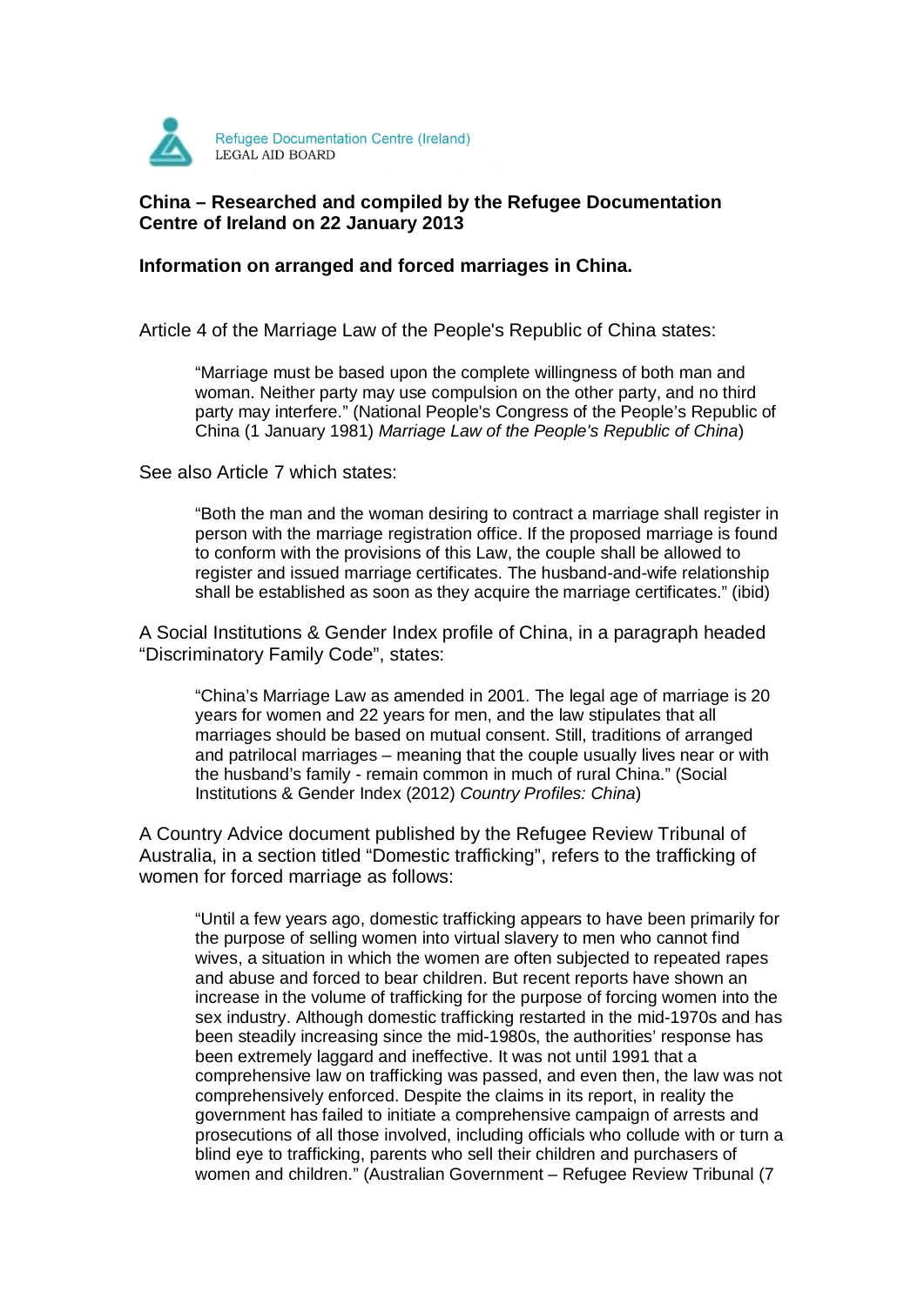

# **China – Researched and compiled by the Refugee Documentation Centre of Ireland on 22 January 2013**

## **Information on arranged and forced marriages in China.**

Article 4 of the Marriage Law of the People's Republic of China states:

"Marriage must be based upon the complete willingness of both man and woman. Neither party may use compulsion on the other party, and no third party may interfere." (National People's Congress of the People's Republic of China (1 January 1981) Marriage Law of the People's Republic of China)

See also Article 7 which states:

"Both the man and the woman desiring to contract a marriage shall register in person with the marriage registration office. If the proposed marriage is found to conform with the provisions of this Law, the couple shall be allowed to register and issued marriage certificates. The husband-and-wife relationship shall be established as soon as they acquire the marriage certificates." (ibid)

A Social Institutions & Gender Index profile of China, in a paragraph headed "Discriminatory Family Code", states:

"China's Marriage Law as amended in 2001. The legal age of marriage is 20 years for women and 22 years for men, and the law stipulates that all marriages should be based on mutual consent. Still, traditions of arranged and patrilocal marriages – meaning that the couple usually lives near or with the husband's family - remain common in much of rural China." (Social Institutions & Gender Index (2012) Country Profiles: China)

A Country Advice document published by the Refugee Review Tribunal of Australia, in a section titled "Domestic trafficking", refers to the trafficking of women for forced marriage as follows:

"Until a few years ago, domestic trafficking appears to have been primarily for the purpose of selling women into virtual slavery to men who cannot find wives, a situation in which the women are often subjected to repeated rapes and abuse and forced to bear children. But recent reports have shown an increase in the volume of trafficking for the purpose of forcing women into the sex industry. Although domestic trafficking restarted in the mid-1970s and has been steadily increasing since the mid-1980s, the authorities' response has been extremely laggard and ineffective. It was not until 1991 that a comprehensive law on trafficking was passed, and even then, the law was not comprehensively enforced. Despite the claims in its report, in reality the government has failed to initiate a comprehensive campaign of arrests and prosecutions of all those involved, including officials who collude with or turn a blind eye to trafficking, parents who sell their children and purchasers of women and children." (Australian Government – Refugee Review Tribunal (7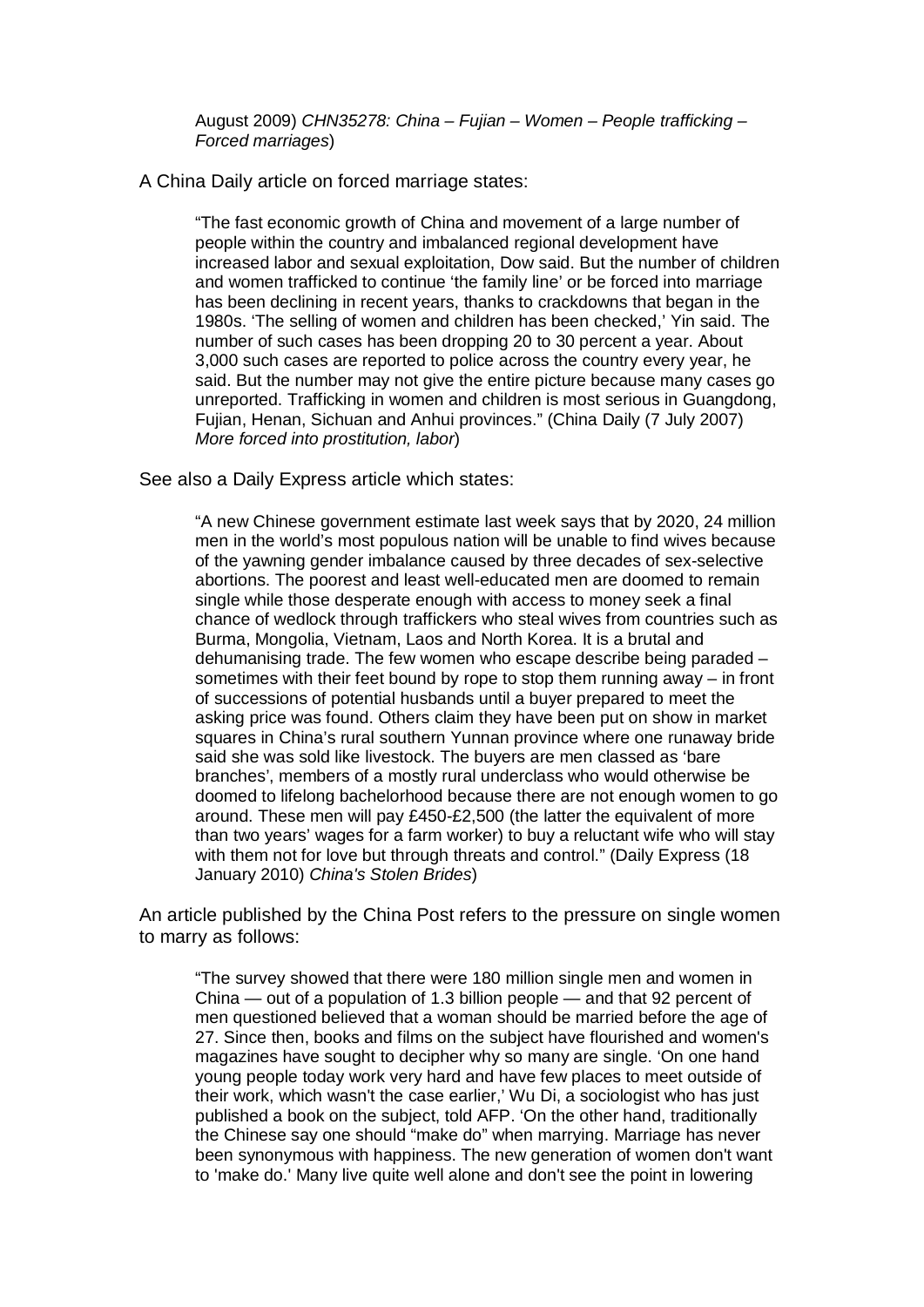August 2009) CHN35278: China – Fujian – Women – People trafficking – Forced marriages)

### A China Daily article on forced marriage states:

"The fast economic growth of China and movement of a large number of people within the country and imbalanced regional development have increased labor and sexual exploitation, Dow said. But the number of children and women trafficked to continue 'the family line' or be forced into marriage has been declining in recent years, thanks to crackdowns that began in the 1980s. 'The selling of women and children has been checked,' Yin said. The number of such cases has been dropping 20 to 30 percent a year. About 3,000 such cases are reported to police across the country every year, he said. But the number may not give the entire picture because many cases go unreported. Trafficking in women and children is most serious in Guangdong, Fujian, Henan, Sichuan and Anhui provinces." (China Daily (7 July 2007) More forced into prostitution, labor)

#### See also a Daily Express article which states:

"A new Chinese government estimate last week says that by 2020, 24 million men in the world's most populous nation will be unable to find wives because of the yawning gender imbalance caused by three decades of sex-selective abortions. The poorest and least well-educated men are doomed to remain single while those desperate enough with access to money seek a final chance of wedlock through traffickers who steal wives from countries such as Burma, Mongolia, Vietnam, Laos and North Korea. It is a brutal and dehumanising trade. The few women who escape describe being paraded – sometimes with their feet bound by rope to stop them running away – in front of successions of potential husbands until a buyer prepared to meet the asking price was found. Others claim they have been put on show in market squares in China's rural southern Yunnan province where one runaway bride said she was sold like livestock. The buyers are men classed as 'bare branches', members of a mostly rural underclass who would otherwise be doomed to lifelong bachelorhood because there are not enough women to go around. These men will pay £450-£2,500 (the latter the equivalent of more than two years' wages for a farm worker) to buy a reluctant wife who will stay with them not for love but through threats and control." (Daily Express (18 January 2010) China's Stolen Brides)

An article published by the China Post refers to the pressure on single women to marry as follows:

"The survey showed that there were 180 million single men and women in China — out of a population of 1.3 billion people — and that 92 percent of men questioned believed that a woman should be married before the age of 27. Since then, books and films on the subject have flourished and women's magazines have sought to decipher why so many are single. 'On one hand young people today work very hard and have few places to meet outside of their work, which wasn't the case earlier,' Wu Di, a sociologist who has just published a book on the subject, told AFP. 'On the other hand, traditionally the Chinese say one should "make do" when marrying. Marriage has never been synonymous with happiness. The new generation of women don't want to 'make do.' Many live quite well alone and don't see the point in lowering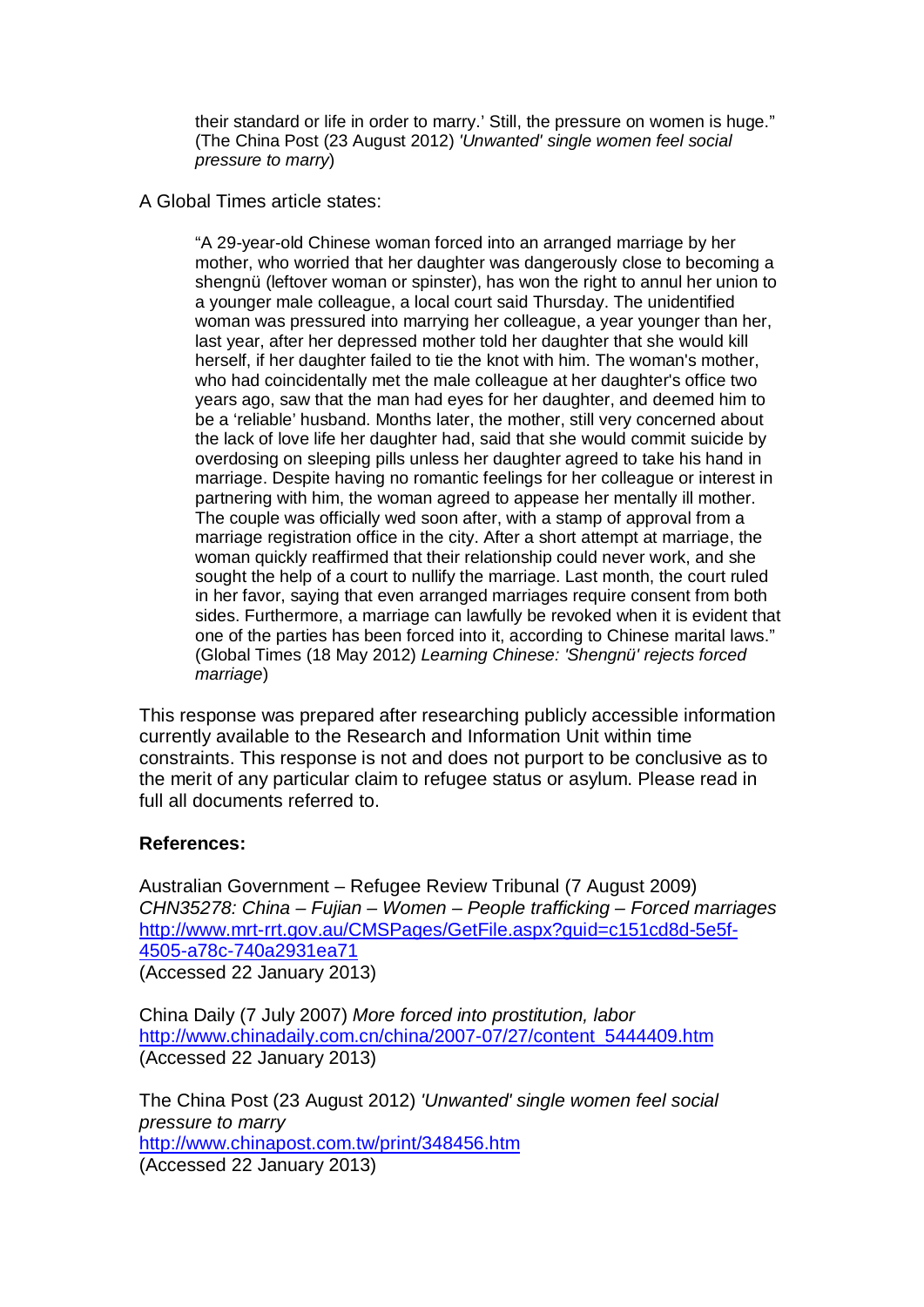their standard or life in order to marry.' Still, the pressure on women is huge." (The China Post (23 August 2012) 'Unwanted' single women feel social pressure to marry)

# A Global Times article states:

"A 29-year-old Chinese woman forced into an arranged marriage by her mother, who worried that her daughter was dangerously close to becoming a shengnü (leftover woman or spinster), has won the right to annul her union to a younger male colleague, a local court said Thursday. The unidentified woman was pressured into marrying her colleague, a year younger than her, last year, after her depressed mother told her daughter that she would kill herself, if her daughter failed to tie the knot with him. The woman's mother, who had coincidentally met the male colleague at her daughter's office two years ago, saw that the man had eyes for her daughter, and deemed him to be a 'reliable' husband. Months later, the mother, still very concerned about the lack of love life her daughter had, said that she would commit suicide by overdosing on sleeping pills unless her daughter agreed to take his hand in marriage. Despite having no romantic feelings for her colleague or interest in partnering with him, the woman agreed to appease her mentally ill mother. The couple was officially wed soon after, with a stamp of approval from a marriage registration office in the city. After a short attempt at marriage, the woman quickly reaffirmed that their relationship could never work, and she sought the help of a court to nullify the marriage. Last month, the court ruled in her favor, saying that even arranged marriages require consent from both sides. Furthermore, a marriage can lawfully be revoked when it is evident that one of the parties has been forced into it, according to Chinese marital laws." (Global Times (18 May 2012) Learning Chinese: 'Shengnü' rejects forced marriage)

This response was prepared after researching publicly accessible information currently available to the Research and Information Unit within time constraints. This response is not and does not purport to be conclusive as to the merit of any particular claim to refugee status or asylum. Please read in full all documents referred to.

### **References:**

Australian Government – Refugee Review Tribunal (7 August 2009) CHN35278: China – Fujian – Women – People trafficking – Forced marriages http://www.mrt-rrt.gov.au/CMSPages/GetFile.aspx?guid=c151cd8d-5e5f-4505-a78c-740a2931ea71

(Accessed 22 January 2013)

China Daily (7 July 2007) More forced into prostitution, labor http://www.chinadaily.com.cn/china/2007-07/27/content\_5444409.htm (Accessed 22 January 2013)

The China Post (23 August 2012) 'Unwanted' single women feel social pressure to marry http://www.chinapost.com.tw/print/348456.htm (Accessed 22 January 2013)